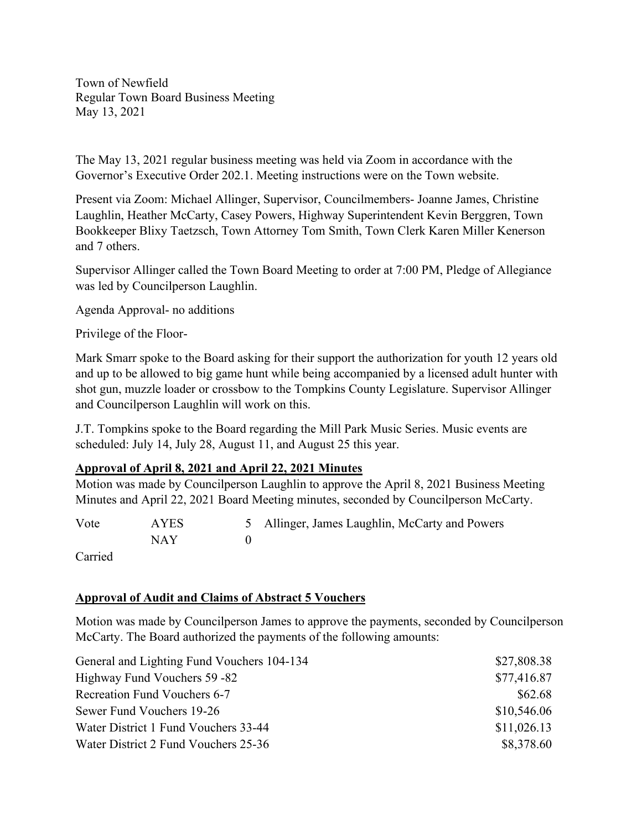Town of Newfield Regular Town Board Business Meeting May 13, 2021

The May 13, 2021 regular business meeting was held via Zoom in accordance with the Governor's Executive Order 202.1. Meeting instructions were on the Town website.

Present via Zoom: Michael Allinger, Supervisor, Councilmembers- Joanne James, Christine Laughlin, Heather McCarty, Casey Powers, Highway Superintendent Kevin Berggren, Town Bookkeeper Blixy Taetzsch, Town Attorney Tom Smith, Town Clerk Karen Miller Kenerson and 7 others.

Supervisor Allinger called the Town Board Meeting to order at 7:00 PM, Pledge of Allegiance was led by Councilperson Laughlin.

Agenda Approval- no additions

Privilege of the Floor-

Mark Smarr spoke to the Board asking for their support the authorization for youth 12 years old and up to be allowed to big game hunt while being accompanied by a licensed adult hunter with shot gun, muzzle loader or crossbow to the Tompkins County Legislature. Supervisor Allinger and Councilperson Laughlin will work on this.

J.T. Tompkins spoke to the Board regarding the Mill Park Music Series. Music events are scheduled: July 14, July 28, August 11, and August 25 this year.

#### **Approval of April 8, 2021 and April 22, 2021 Minutes**

Motion was made by Councilperson Laughlin to approve the April 8, 2021 Business Meeting Minutes and April 22, 2021 Board Meeting minutes, seconded by Councilperson McCarty.

Vote AYES 5 Allinger, James Laughlin, McCarty and Powers NAY 0

Carried

#### **Approval of Audit and Claims of Abstract 5 Vouchers**

Motion was made by Councilperson James to approve the payments, seconded by Councilperson McCarty. The Board authorized the payments of the following amounts:

| General and Lighting Fund Vouchers 104-134 | \$27,808.38 |
|--------------------------------------------|-------------|
| Highway Fund Vouchers 59 -82               | \$77,416.87 |
| <b>Recreation Fund Vouchers 6-7</b>        | \$62.68     |
| Sewer Fund Vouchers 19-26                  | \$10,546.06 |
| Water District 1 Fund Vouchers 33-44       | \$11,026.13 |
| Water District 2 Fund Vouchers 25-36       | \$8,378.60  |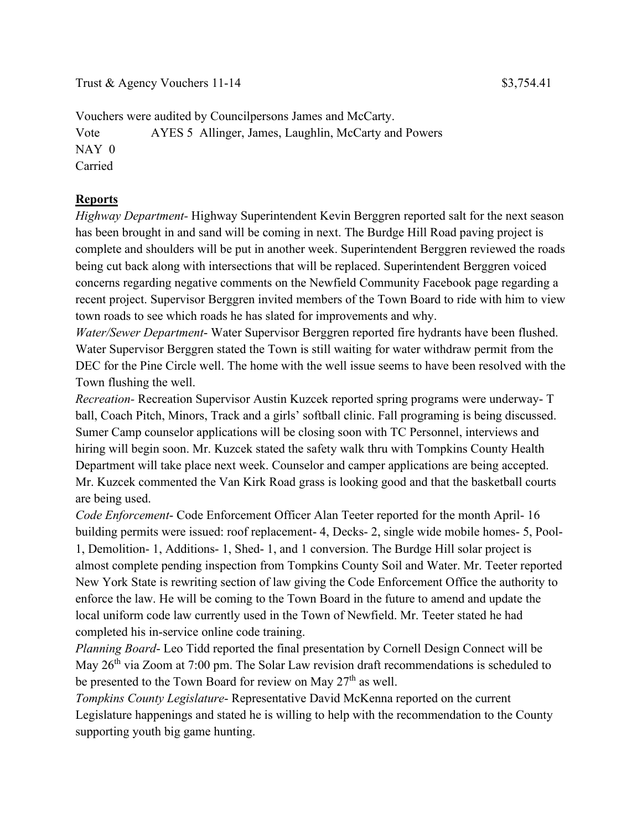Carried

# **Reports**

*Highway Department-* Highway Superintendent Kevin Berggren reported salt for the next season has been brought in and sand will be coming in next. The Burdge Hill Road paving project is complete and shoulders will be put in another week. Superintendent Berggren reviewed the roads being cut back along with intersections that will be replaced. Superintendent Berggren voiced concerns regarding negative comments on the Newfield Community Facebook page regarding a recent project. Supervisor Berggren invited members of the Town Board to ride with him to view town roads to see which roads he has slated for improvements and why.

*Water/Sewer Department*- Water Supervisor Berggren reported fire hydrants have been flushed. Water Supervisor Berggren stated the Town is still waiting for water withdraw permit from the DEC for the Pine Circle well. The home with the well issue seems to have been resolved with the Town flushing the well.

*Recreation-* Recreation Supervisor Austin Kuzcek reported spring programs were underway- T ball, Coach Pitch, Minors, Track and a girls' softball clinic. Fall programing is being discussed. Sumer Camp counselor applications will be closing soon with TC Personnel, interviews and hiring will begin soon. Mr. Kuzcek stated the safety walk thru with Tompkins County Health Department will take place next week. Counselor and camper applications are being accepted. Mr. Kuzcek commented the Van Kirk Road grass is looking good and that the basketball courts are being used.

*Code Enforcement*- Code Enforcement Officer Alan Teeter reported for the month April- 16 building permits were issued: roof replacement- 4, Decks- 2, single wide mobile homes- 5, Pool-1, Demolition- 1, Additions- 1, Shed- 1, and 1 conversion. The Burdge Hill solar project is almost complete pending inspection from Tompkins County Soil and Water. Mr. Teeter reported New York State is rewriting section of law giving the Code Enforcement Office the authority to enforce the law. He will be coming to the Town Board in the future to amend and update the local uniform code law currently used in the Town of Newfield. Mr. Teeter stated he had completed his in-service online code training.

*Planning Board*- Leo Tidd reported the final presentation by Cornell Design Connect will be May 26<sup>th</sup> via Zoom at 7:00 pm. The Solar Law revision draft recommendations is scheduled to be presented to the Town Board for review on May 27<sup>th</sup> as well.

*Tompkins County Legislature*- Representative David McKenna reported on the current Legislature happenings and stated he is willing to help with the recommendation to the County supporting youth big game hunting.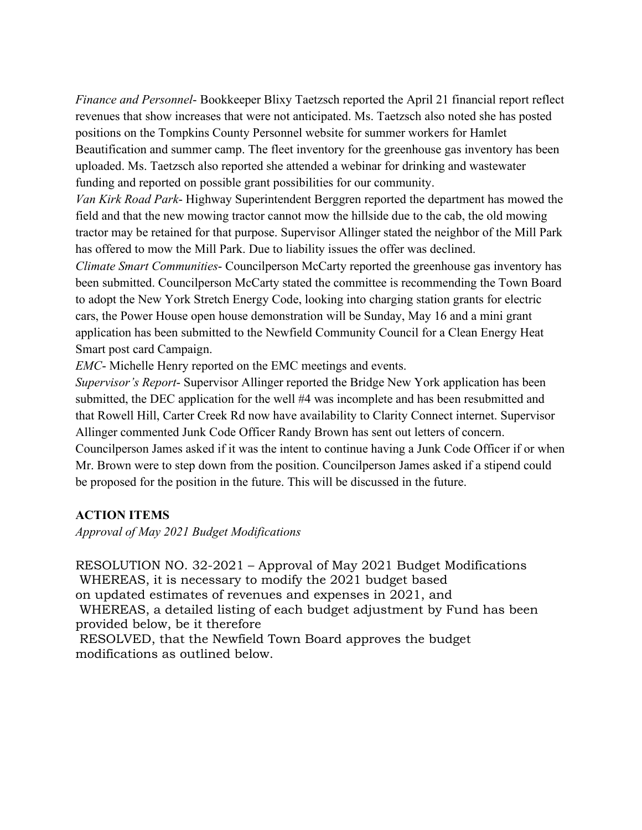*Finance and Personnel*- Bookkeeper Blixy Taetzsch reported the April 21 financial report reflect revenues that show increases that were not anticipated. Ms. Taetzsch also noted she has posted positions on the Tompkins County Personnel website for summer workers for Hamlet Beautification and summer camp. The fleet inventory for the greenhouse gas inventory has been uploaded. Ms. Taetzsch also reported she attended a webinar for drinking and wastewater funding and reported on possible grant possibilities for our community.

*Van Kirk Road Park*- Highway Superintendent Berggren reported the department has mowed the field and that the new mowing tractor cannot mow the hillside due to the cab, the old mowing tractor may be retained for that purpose. Supervisor Allinger stated the neighbor of the Mill Park has offered to mow the Mill Park. Due to liability issues the offer was declined.

*Climate Smart Communities*- Councilperson McCarty reported the greenhouse gas inventory has been submitted. Councilperson McCarty stated the committee is recommending the Town Board to adopt the New York Stretch Energy Code, looking into charging station grants for electric cars, the Power House open house demonstration will be Sunday, May 16 and a mini grant application has been submitted to the Newfield Community Council for a Clean Energy Heat Smart post card Campaign.

*EMC*- Michelle Henry reported on the EMC meetings and events.

*Supervisor's Report*- Supervisor Allinger reported the Bridge New York application has been submitted, the DEC application for the well #4 was incomplete and has been resubmitted and that Rowell Hill, Carter Creek Rd now have availability to Clarity Connect internet. Supervisor Allinger commented Junk Code Officer Randy Brown has sent out letters of concern. Councilperson James asked if it was the intent to continue having a Junk Code Officer if or when Mr. Brown were to step down from the position. Councilperson James asked if a stipend could be proposed for the position in the future. This will be discussed in the future.

#### **ACTION ITEMS**

*Approval of May 2021 Budget Modifications*

RESOLUTION NO. 32-2021 – Approval of May 2021 Budget Modifications WHEREAS, it is necessary to modify the 2021 budget based on updated estimates of revenues and expenses in 2021, and

WHEREAS, a detailed listing of each budget adjustment by Fund has been provided below, be it therefore

RESOLVED, that the Newfield Town Board approves the budget modifications as outlined below.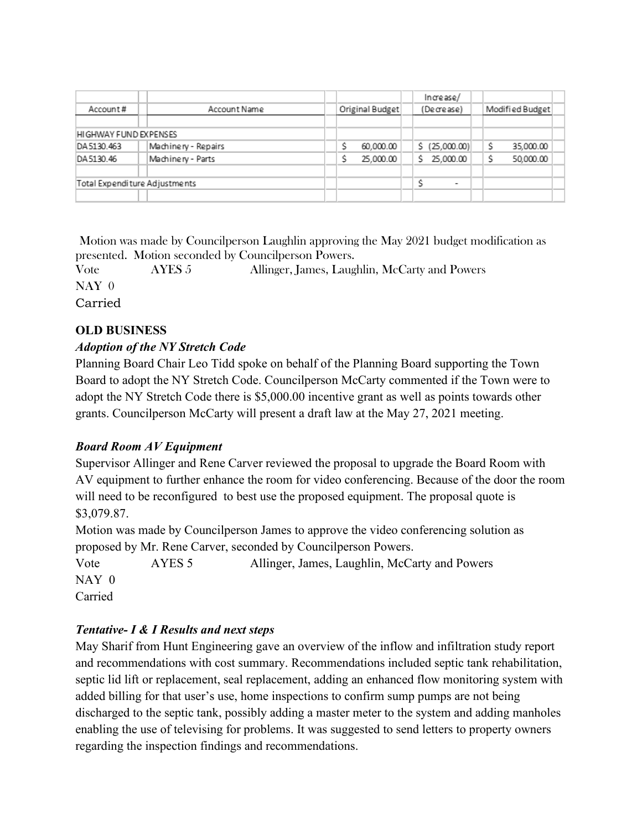| Account#                      | Account Name        | Original Budget | Increase/<br>(Decrease)  | Modified Budget |
|-------------------------------|---------------------|-----------------|--------------------------|-----------------|
| HIGHWAY FUND EXPENSES         |                     |                 |                          |                 |
| DA5130.463                    | Machinery - Repairs | 60,000.00       | \$ (25,000.00)           | Ŝ<br>35,000.00  |
| DA5130.46                     | Machinery - Parts   | 25,000.00       | 25,000.00<br>s.          | 50,000.00       |
| Total Expenditure Adjustments |                     |                 | $\overline{\phantom{a}}$ |                 |

Motion was made by Councilperson Laughlin approving the May 2021 budget modification as presented. Motion seconded by Councilperson Powers.

Vote AYES 5 Allinger, James, Laughlin, McCarty and Powers NAY 0 Carried

# **OLD BUSINESS**

# *Adoption of the NY Stretch Code*

Planning Board Chair Leo Tidd spoke on behalf of the Planning Board supporting the Town Board to adopt the NY Stretch Code. Councilperson McCarty commented if the Town were to adopt the NY Stretch Code there is \$5,000.00 incentive grant as well as points towards other grants. Councilperson McCarty will present a draft law at the May 27, 2021 meeting.

# *Board Room AV Equipment*

Supervisor Allinger and Rene Carver reviewed the proposal to upgrade the Board Room with AV equipment to further enhance the room for video conferencing. Because of the door the room will need to be reconfigured to best use the proposed equipment. The proposal quote is \$3,079.87.

Motion was made by Councilperson James to approve the video conferencing solution as proposed by Mr. Rene Carver, seconded by Councilperson Powers.

Vote AYES 5 Allinger, James, Laughlin, McCarty and Powers NAY 0 Carried

# *Tentative- I & I Results and next steps*

May Sharif from Hunt Engineering gave an overview of the inflow and infiltration study report and recommendations with cost summary. Recommendations included septic tank rehabilitation, septic lid lift or replacement, seal replacement, adding an enhanced flow monitoring system with added billing for that user's use, home inspections to confirm sump pumps are not being discharged to the septic tank, possibly adding a master meter to the system and adding manholes enabling the use of televising for problems. It was suggested to send letters to property owners regarding the inspection findings and recommendations.